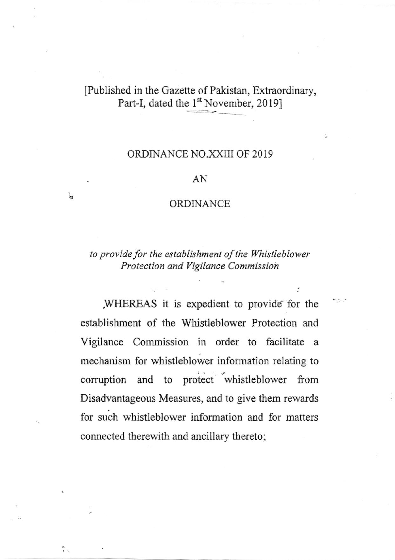## [Published in the Gazette of Pakistan, Extraordinary, Part-I, dated the 1<sup>st</sup> November, 2019]

## ORDINANCE NO.XXIII OF 2019

## AN

## ORDINANCE

to provide for the establishment of the Whistleblower Protection and Vigilance Commission

WHEREAS it is expedient to provide for the establishment of the Whistleblower Protection and Vigilance Commission in order to facilitate a mechanism for whistleblower information relating to corruption and to protect whistleblower from Disadvantageous Measures, and to give them rewards for such whistleblower information and for matters connected therewith and ancillary thereto;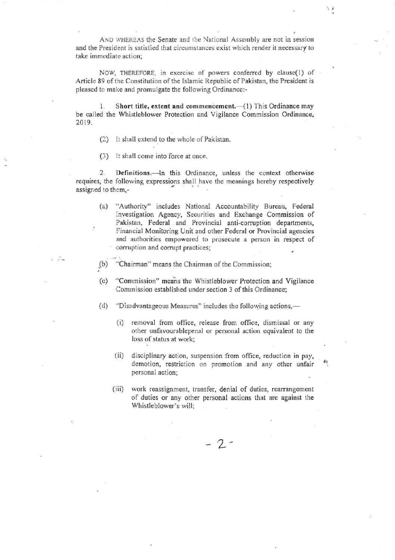AND WHEREAS the Senate and the National Assembly are not in session and the President is satisfied that circumstances exist which render it necessary to take immediate action;

NOW, THEREFORE, in exercise of powers conferred by clause(1) of Article 89 of the Constitution of the Islamic Republic of Pakistan, the President is pleased to make and promulgate the following Ordinance:-

Short title, extent and commencement.-(1) This Ordinance may 1. be called the Whistleblower Protection and Vigilance Commission Ordinance, 2019.

- (2) It shall extend to the whole of Pakistan.
- (3) It shall come into force at once.

Definitions.—In this Ordinance, unless the context otherwise  $2.$ requires, the following expressions shall have the meanings hereby respectively assigned to them,-

 $(a)$ "Authority" includes National Accountability Bureau, Federal Investigation Agency, Securities and Exchange Commission of Pakistan, Federal and Provincial anti-corruption departments, Financial Monitoring Unit and other Federal or Provincial agencies and authorities empowered to prosecute a person in respect of corruption and corrupt practices;

 $(b)$ "Chairman" means the Chairman of the Commission;

- $(c)$ "Commission" means the Whistleblower Protection and Vigilance Commission established under section 3 of this Ordinance;
- "Disadvantageous Measures" includes the following actions,—  $(d)$ 
	- $(i)$ removal from office, release from office, dismissal or any other unfavourablepenal or personal action equivalent to the loss of status at work;
	- disciplinary action, suspension from office, reduction in pay,  $(ii)$ demotion, restriction on promotion and any other unfair personal action;
	- work reassignment, transfer, denial of duties, rearrangement  $(iii)$ of duties or any other personal actions that are against the Whistleblower's will;

 $-2-$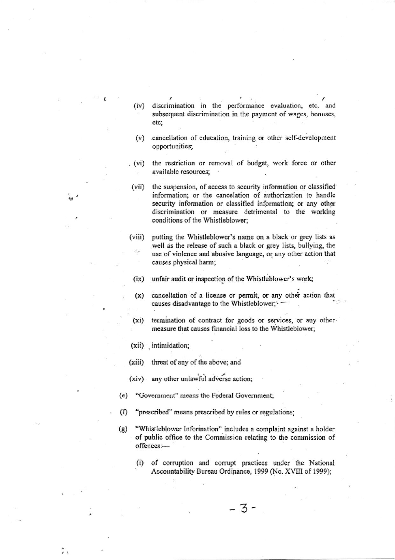- $(iv)$ discrimination in the performance evaluation, etc. and subsequent discrimination in the payment of wages, bonuses, etc;
- cancellation of education, training or other self-development  $(v)$ opportunities;
- $(vi)$ the restriction or removal of budget, work force or other available resources;

the suspension, of access to security information or classified  $(vii)$ information; or the cancelation of authorization to handle security information or classified information; or any other discrimination or measure detrimental to the working conditions of the Whistleblower;

 $(viii)$ putting the Whistleblower's name on a black or grey lists as well as the release of such a black or grey lists, bullying, the use of violence and abusive language, or any other action that causes physical harm;

unfair audit or inspection of the Whistleblower's work;  $(ix)$ 

- cancellation of a license or permit, or any other action that  $(x)$ causes disadvantage to the Whistleblower; -
- $(xi)$ termination of contract for goods or services, or any other measure that causes financial loss to the Whistleblower;
- (xii) intimidation;
- $(xiii)$ threat of any of the above; and

any other unlawful adverse action;  $(xiv)$ 

- "Government" means the Federal Government; (e)
- "prescribed" means prescribed by rules or regulations;  $(f)$
- "Whistleblower Information" includes a complaint against a holder  $(g)$ of public office to the Commission relating to the commission of offences:
	- of corruption and corrupt practices under the National  $(i)$ Accountability Bureau Ordinance, 1999 (No. XVIII of 1999);

3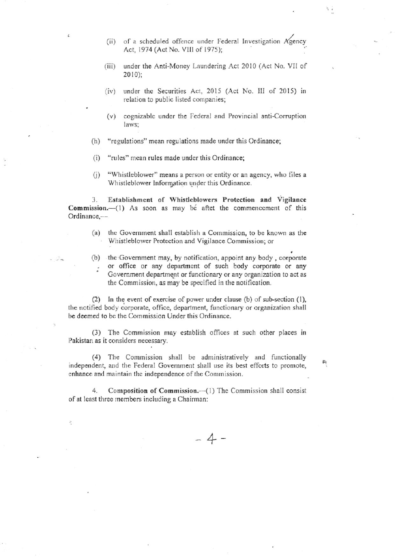- (ii) of a scheduled offence under Federal Investigation  $A$ gency Act, 1974 (Act No. Vlll of 1975);
- (iii) under the Anti-Money Laundering Act 2010 (Act No. VII of  $2010$ ;
- (iv) under the Securities Act, 2015 (Act No. III of 2015) in relation to public listed companies;
- $(v)$  cognizable under the Federal and Provincial anti-Corruption laws;
- (h) "regulations" mean regulations made under this Ordinance;
- $(i)$ "rulcs" mean rules made under this Ordinance:
- $(i)$ "Whistleblower" means a person or entity or an agency, who files a Whistleblower Information under this Ordinance.

3. Establishment of Whistleblowers Protection and Vigilance  $Commission.$  (1) As soon as may be aftet the commencement of this Ordinance,-

- (a) thc Govemment shall establish a Commission, to be known as thc Whistleblower Protection and Vigilance Commissioo; or
- (b) the Government may, by notification, appoint any body, corporate or office or any department of such body corporate or any Government department or functionary or any organization to act as the Commission, as may be specified in the notification.

(2) In the event of exercise of power under clause (b) of sub-section  $(1)$ , the notified body corporate, office, department, functionary or organization shall be deemed to be the Commission Under this Ordinance.

(3) Thc Commission may establish otficcs at such other places in Pakistan as it considers necessary.

(4) The Commission shall be administratively and functionally independent, and the Federal Government shall use its best efforts to promote, enhance and maintain the independence of the Commission.

4. Composition of Commission. (1) The Commission shall consist of at least three members including a Chairman:

 $-4-$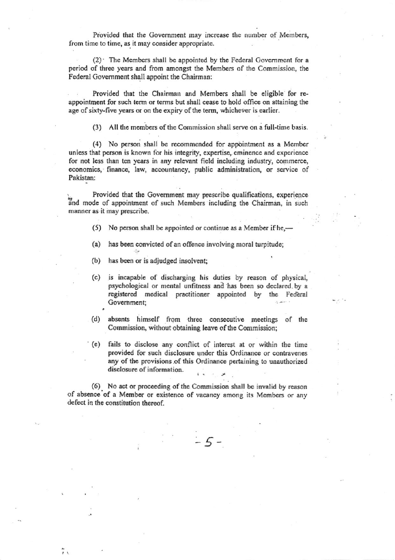Provided that the Government may increase the number of Members, from time to time, as it may consider appropriate.

 $(2)$  The Members shall be appointed by the Federal Government for a period of three years and from amongst the Members of the Commission, the Federal Government shall appoint the Chairman:

Provided that the Chairman and Members shall be eligible for reappointment for such term or terms but shall cease to hold office on attaining the age of sixty-five years or on the expiry of the term, whichever is earlier.

(3) All the members of the Commission shall serve on a full-time basis.

(4) No person shall be recommended for appointment as a Member unless that person is known for his integrity, expertise, eminence and experience for not lcss than ten years in any rclevant ficld including industry, commerce, economics, finance, law, accountancy, public administration, or service of Pakistan:

Provided that the Government may prescribe qualifications, experience and mode of appointment of such Members including the Chairman, in such manner as it may prescribe.

- (5) No person shall be appointed or continue as a Member if he, $-$
- (a) has been convicted of an offence involving moral turpitude;
- (b) has been or is adjudged insolvent;
- (c) is incapablc of discharging his duties by reason of physical, psychological or mental unfitness and has been so declared by a registered medical practitioner appointed by the Federal . Government;
- (d) absents himself from three consecutive meetings of the Commission, without obtaining leave of the Commission;
- '(e) fails to disclose any conflict of intercst at or within the time provided for such disclosure under this Ordinance or contravenes any of the provisions of this Ordinance pertaining to unauthorized disclosure of information. , .

 $-5-$ 

(6). No act or proceeding of the Commission shall be invalid by reason of absence of a Member or existence of vacancy among its Members or any defect in the constitution thereof.